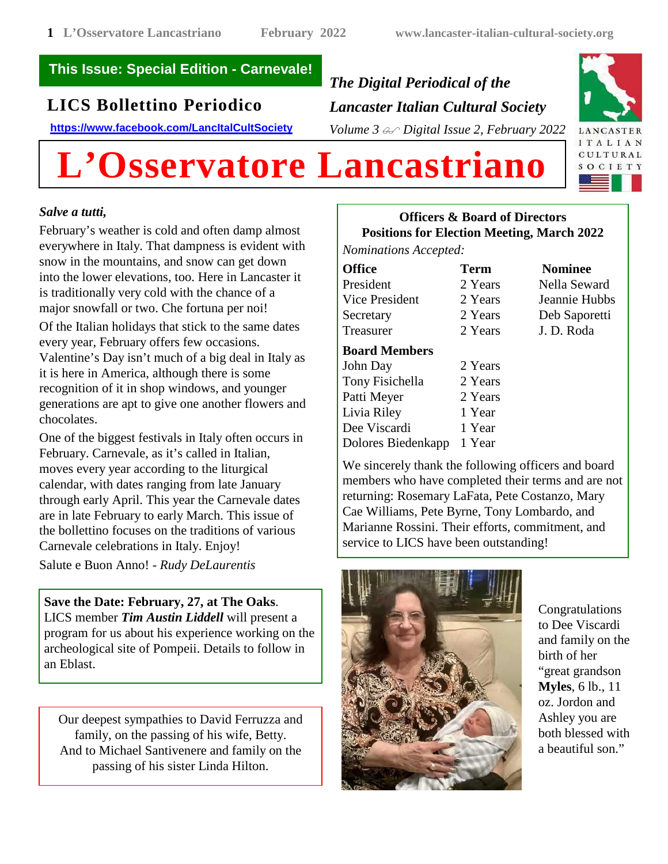## **This Issue: Special Edition - Carnevale!**

# **LICS Bollettino Periodico**

**https://www.facebook.com/LancItalCultSociety**

# *The Digital Periodical of the Lancaster Italian Cultural Society Volume 3 Digital Issue 2, February 2022*



# **L'Osservatore Lancastriano**

### *Salve a tutti,*

February's weather is cold and often damp almost everywhere in Italy. That dampness is evident with snow in the mountains, and snow can get down into the lower elevations, too. Here in Lancaster it is traditionally very cold with the chance of a major snowfall or two. Che fortuna per noi! Of the Italian holidays that stick to the same dates every year, February offers few occasions. Valentine's Day isn't much of a big deal in Italy as it is here in America, although there is some recognition of it in shop windows, and younger generations are apt to give one another flowers and chocolates.

One of the biggest festivals in Italy often occurs in February. Carnevale, as it's called in Italian, moves every year according to the liturgical calendar, with dates ranging from late January through early April. This year the Carnevale dates are in late February to early March. This issue of the bollettino focuses on the traditions of various Carnevale celebrations in Italy. Enjoy!

Salute e Buon Anno! - *Rudy DeLaurentis*

**Save the Date: February, 27, at The Oaks**. LICS member *Tim Austin Liddell* will present a program for us about his experience working on the archeological site of Pompeii. Details to follow in an Eblast.

Our deepest sympathies to David Ferruzza and family, on the passing of his wife, Betty. And to Michael Santivenere and family on the passing of his sister Linda Hilton.

# **Officers & Board of Directors Positions for Election Meeting, March 2022**

*Nominations Accepted:*

| <b>Office</b>  | <b>Term</b> | <b>Nominee</b> |
|----------------|-------------|----------------|
| President      | 2 Years     | Nella Seward   |
| Vice President | 2 Years     | Jeannie Hubbs  |
| Secretary      | 2 Years     | Deb Saporetti  |
| Treasurer      | 2 Years     | J. D. Roda     |

## **Board Members**

| John Day           | 2 Years |
|--------------------|---------|
| Tony Fisichella    | 2 Years |
| Patti Meyer        | 2 Years |
| Livia Riley        | 1 Year  |
| Dee Viscardi       | 1 Year  |
| Dolores Biedenkapp | 1 Year  |

We sincerely thank the following officers and board members who have completed their terms and are not returning: Rosemary LaFata, Pete Costanzo, Mary Cae Williams, Pete Byrne, Tony Lombardo, and Marianne Rossini. Their efforts, commitment, and service to LICS have been outstanding!



Congratulations to Dee Viscardi and family on the birth of her "great grandson **Myles**, 6 lb., 11 oz. Jordon and Ashley you are both blessed with a beautiful son."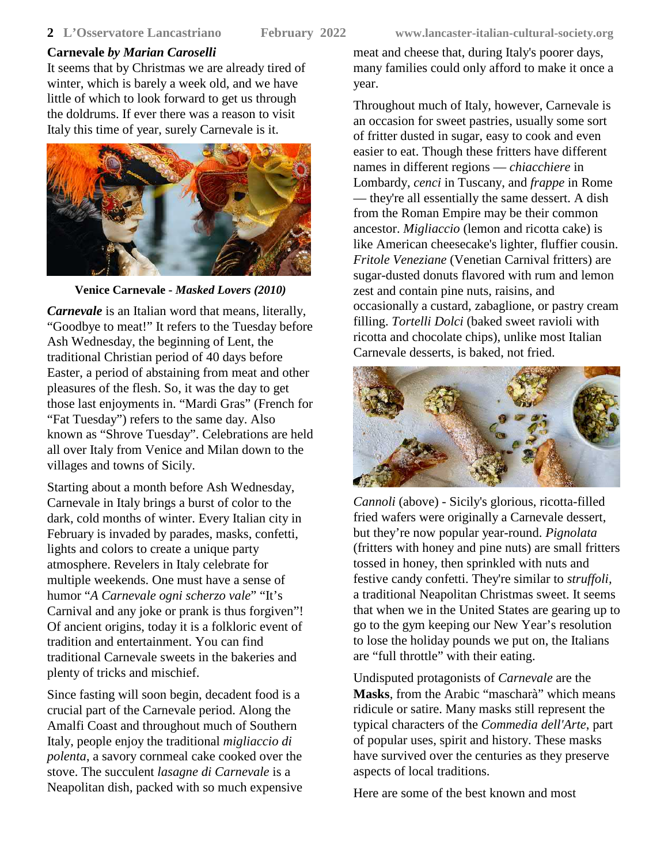It seems that by Christmas we are already tired of winter, which is barely a week old, and we have little of which to look forward to get us through the doldrums. If ever there was a reason to visit Italy this time of year, surely Carnevale is it.



**Venice Carnevale -** *Masked Lovers (2010)*

*Carnevale* is an Italian word that means, literally, "Goodbye to meat!" It refers to the Tuesday before Ash Wednesday, the beginning of Lent, the traditional Christian period of 40 days before Easter, a period of abstaining from meat and other pleasures of the flesh. So, it was the day to get those last enjoyments in. "Mardi Gras" (French for "Fat Tuesday") refers to the same day. Also known as "Shrove Tuesday". Celebrations are held all over Italy from Venice and Milan down to the villages and towns of Sicily.

Starting about a month before Ash Wednesday, Carnevale in Italy brings a burst of color to the dark, cold months of winter. Every Italian city in February is invaded by parades, masks, confetti, lights and colors to create a unique party atmosphere. Revelers in Italy celebrate for multiple weekends. One must have a sense of humor "*A Carnevale ogni scherzo vale*" "It's Carnival and any joke or prank is thus forgiven"! Of ancient origins, today it is a folkloric event of tradition and entertainment. You can find traditional Carnevale sweets in the bakeries and plenty of tricks and mischief.

Since fasting will soon begin, decadent food is a crucial part of the Carnevale period. Along the Amalfi Coast and throughout much of Southern Italy, people enjoy the traditional *migliaccio di polenta*, a savory cornmeal cake cooked over the stove. The succulent *lasagne di Carnevale* is a Neapolitan dish, packed with so much expensive

meat and cheese that, during Italy's poorer days, many families could only afford to make it once a year.

Throughout much of Italy, however, Carnevale is an occasion for sweet pastries, usually some sort of fritter dusted in sugar, easy to cook and even easier to eat. Though these fritters have different names in different regions — *chiacchiere* in Lombardy, *cenci* in Tuscany, and *frappe* in Rome — they're all essentially the same dessert. A dish from the Roman Empire may be their common ancestor. *Migliaccio* (lemon and ricotta cake) is like American cheesecake's lighter, fluffier cousin. *Fritole Veneziane* (Venetian Carnival fritters) are sugar-dusted donuts flavored with rum and lemon zest and contain pine nuts, raisins, and occasionally a custard, zabaglione, or pastry cream filling. *Tortelli Dolci* (baked sweet ravioli with ricotta and chocolate chips), unlike most Italian Carnevale desserts, is baked, not fried.



*Cannoli* (above) - Sicily's glorious, ricotta-filled fried wafers were originally a Carnevale dessert, but they're now popular year-round. *Pignolata* (fritters with honey and pine nuts) are small fritters tossed in honey, then sprinkled with nuts and festive candy confetti. They're similar to *struffoli,* a traditional Neapolitan Christmas sweet. It seems that when we in the United States are gearing up to go to the gym keeping our New Year's resolution to lose the holiday pounds we put on, the Italians are "full throttle" with their eating.

Undisputed protagonists of *Carnevale* are the **Masks**, from the Arabic "mascharà" which means ridicule or satire. Many masks still represent the typical characters of the *Commedia dell'Arte*, part of popular uses, spirit and history. These masks have survived over the centuries as they preserve aspects of local traditions.

Here are some of the best known and most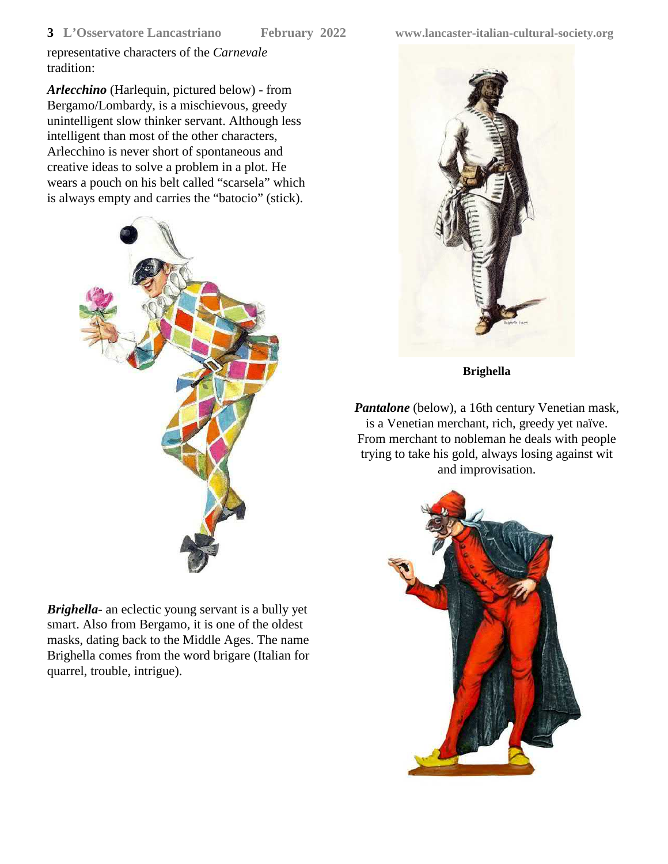representative characters of the *Carnevale* tradition:

*Arlecchino* (Harlequin, pictured below) - from Bergamo/Lombardy, is a mischievous, greedy unintelligent slow thinker servant. Although less intelligent than most of the other characters, Arlecchino is never short of spontaneous and creative ideas to solve a problem in a plot. He wears a pouch on his belt called "scarsela" which is always empty and carries the "batocio" (stick).



*Brighella*- an eclectic young servant is a bully yet smart. Also from Bergamo, it is one of the oldest masks, dating back to the Middle Ages. The name Brighella comes from the word brigare (Italian for quarrel, trouble, intrigue).



**Brighella**

*Pantalone* (below), a 16th century Venetian mask, is a Venetian merchant, rich, greedy yet naïve. From merchant to nobleman he deals with people trying to take his gold, always losing against wit and improvisation.

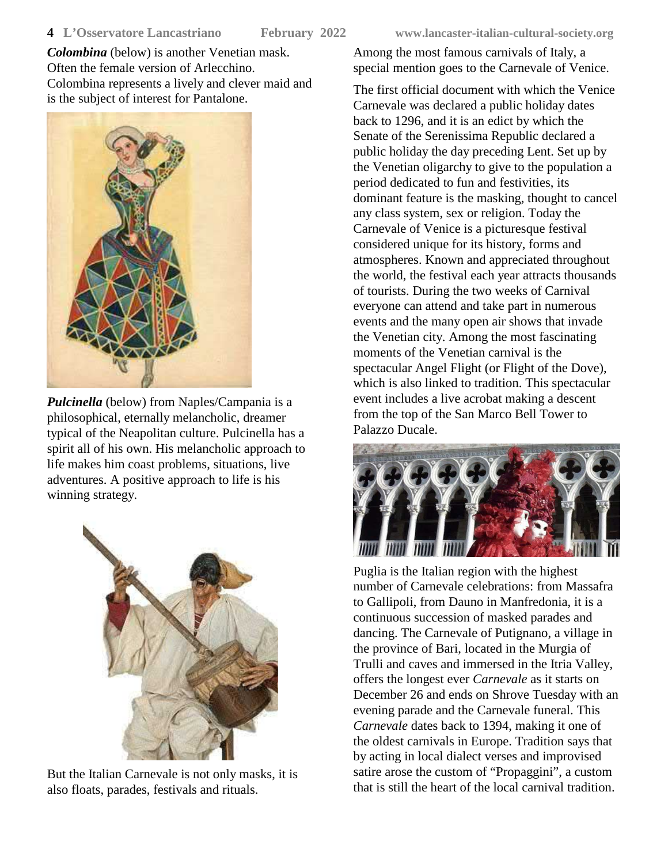*Colombina* (below) is another Venetian mask. Often the female version of Arlecchino. Colombina represents a lively and clever maid and is the subject of interest for Pantalone.



*Pulcinella* (below) from Naples/Campania is a philosophical, eternally melancholic, dreamer typical of the Neapolitan culture. Pulcinella has a spirit all of his own. His melancholic approach to life makes him coast problems, situations, live adventures. A positive approach to life is his winning strategy.



But the Italian Carnevale is not only masks, it is also floats, parades, festivals and rituals.

Among the most famous carnivals of Italy, a special mention goes to the Carnevale of Venice.

The first official document with which the Venice Carnevale was declared a public holiday dates back to 1296, and it is an edict by which the Senate of the Serenissima Republic declared a public holiday the day preceding Lent. Set up by the Venetian oligarchy to give to the population a period dedicated to fun and festivities, its dominant feature is the masking, thought to cancel any class system, sex or religion. Today the Carnevale of Venice is a picturesque festival considered unique for its history, forms and atmospheres. Known and appreciated throughout the world, the festival each year attracts thousands of tourists. During the two weeks of Carnival everyone can attend and take part in numerous events and the many open air shows that invade the Venetian city. Among the most fascinating moments of the Venetian carnival is the spectacular Angel Flight (or Flight of the Dove), which is also linked to tradition. This spectacular event includes a live acrobat making a descent from the top of the San Marco Bell Tower to Palazzo Ducale.



Puglia is the Italian region with the highest number of Carnevale celebrations: from Massafra to Gallipoli, from Dauno in Manfredonia, it is a continuous succession of masked parades and dancing. The Carnevale of Putignano, a village in the province of Bari, located in the Murgia of Trulli and caves and immersed in the Itria Valley, offers the longest ever *Carnevale* as it starts on December 26 and ends on Shrove Tuesday with an evening parade and the Carnevale funeral. This *Carnevale* dates back to 1394, making it one of the oldest carnivals in Europe. Tradition says that by acting in local dialect verses and improvised satire arose the custom of "Propaggini", a custom that is still the heart of the local carnival tradition.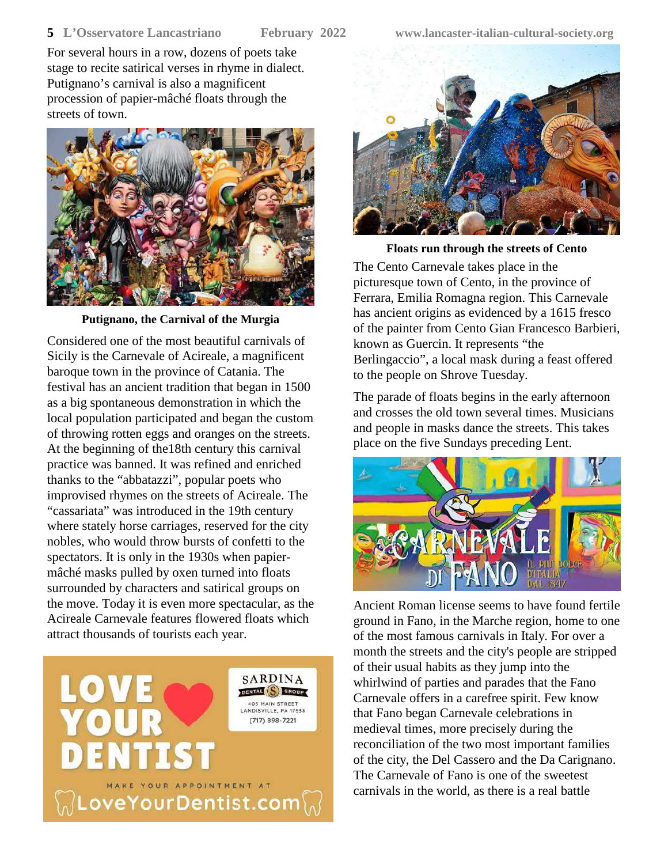### **5 L'Osservatore Lancastriano February 2022 www.lancaster-italian-cultural-society.org**

For several hours in a row, dozens of poets take stage to recite satirical verses in rhyme in dialect. Putignano's carnival is also a magnificent procession of papier-mâché floats through the streets of town.



**Putignano, the Carnival of the Murgia**

Considered one of the most beautiful carnivals of Sicily is the Carnevale of Acireale, a magnificent baroque town in the province of Catania. The festival has an ancient tradition that began in 1500 as a big spontaneous demonstration in which the local population participated and began the custom of throwing rotten eggs and oranges on the streets. At the beginning of the18th century this carnival practice was banned. It was refined and enriched thanks to the "abbatazzi", popular poets who improvised rhymes on the streets of Acireale. The "cassariata" was introduced in the 19th century where stately horse carriages, reserved for the city nobles, who would throw bursts of confetti to the spectators. It is only in the 1930s when papiermâché masks pulled by oxen turned into floats surrounded by characters and satirical groups on the move. Today it is even more spectacular, as the Acireale Carnevale features flowered floats which attract thousands of tourists each year.





**Floats run through the streets of Cento** The Cento Carnevale takes place in the picturesque town of Cento, in the province of Ferrara, Emilia Romagna region. This Carnevale has ancient origins as evidenced by a 1615 fresco of the painter from Cento Gian Francesco Barbieri, known as Guercin. It represents "the Berlingaccio", a local mask during a feast offered to the people on Shrove Tuesday.

The parade of floats begins in the early afternoon and crosses the old town several times. Musicians and people in masks dance the streets. This takes place on the five Sundays preceding Lent.



Ancient Roman license seems to have found fertile ground in Fano, in the Marche region, home to one of the most famous carnivals in Italy. For over a month the streets and the city's people are stripped of their usual habits as they jump into the whirlwind of parties and parades that the Fano Carnevale offers in a carefree spirit. Few know that Fano began Carnevale celebrations in medieval times, more precisely during the reconciliation of the two most important families of the city, the Del Cassero and the Da Carignano. The Carnevale of Fano is one of the sweetest carnivals in the world, as there is a real battle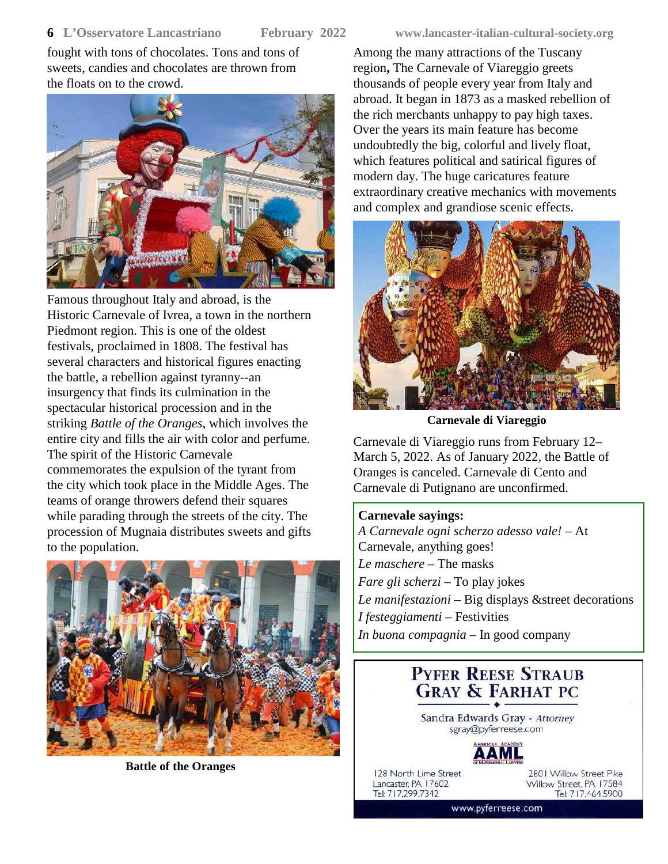### **6 L'Osservatore Lancastriano February 2022 www.lancaster-italian-cultural-society.org**

fought with tons of chocolates. Tons and tons of sweets, candies and chocolates are thrown from the floats on to the crowd.



Famous throughout Italy and abroad, is the Historic Carnevale of Ivrea, a town in the northern Piedmont region. This is one of the oldest festivals, proclaimed in 1808. The festival has several characters and historical figures enacting the battle, a rebellion against tyranny--an insurgency that finds its culmination in the spectacular historical procession and in the striking *Battle of the Oranges*, which involves the entire city and fills the air with color and perfume. The spirit of the Historic Carnevale commemorates the expulsion of the tyrant from the city which took place in the Middle Ages. The teams of orange throwers defend their squares while parading through the streets of the city. The procession of Mugnaia distributes sweets and gifts to the population.



**Battle of the Oranges**

Among the many attractions of the Tuscany region**,** The Carnevale of Viareggio greets thousands of people every year from Italy and abroad. It began in 1873 as a masked rebellion of the rich merchants unhappy to pay high taxes. Over the years its main feature has become undoubtedly the big, colorful and lively float, which features political and satirical figures of modern day. The huge caricatures feature extraordinary creative mechanics with movements and complex and grandiose scenic effects.



**Carnevale di Viareggio**

Carnevale di Viareggio runs from February 12– March 5, 2022. As of January 2022, the Battle of Oranges is canceled. Carnevale di Cento and Carnevale di Putignano are unconfirmed.

### **Carnevale sayings:**

*A Carnevale ogni scherzo adesso vale!* – At Carnevale, anything goes! *Le maschere* – The masks *Fare gli scherzi* – To play jokes *Le manifestazioni* – Big displays &street decorations *I festeggiamenti* – Festivities *In buona compagnia* – In good company

> **PYFER REESE STRAUB GRAY & FARHAT PC**

Sandra Edwards Gray - Attorney sgray@pyferreese.com



128 North Lime Street Lancaster, PA 17602 Tel: 717.299.7342

2801 Willow Street Pike Willow Street, PA 17584 Tel: 717.464.5900

www.pyferreese.com